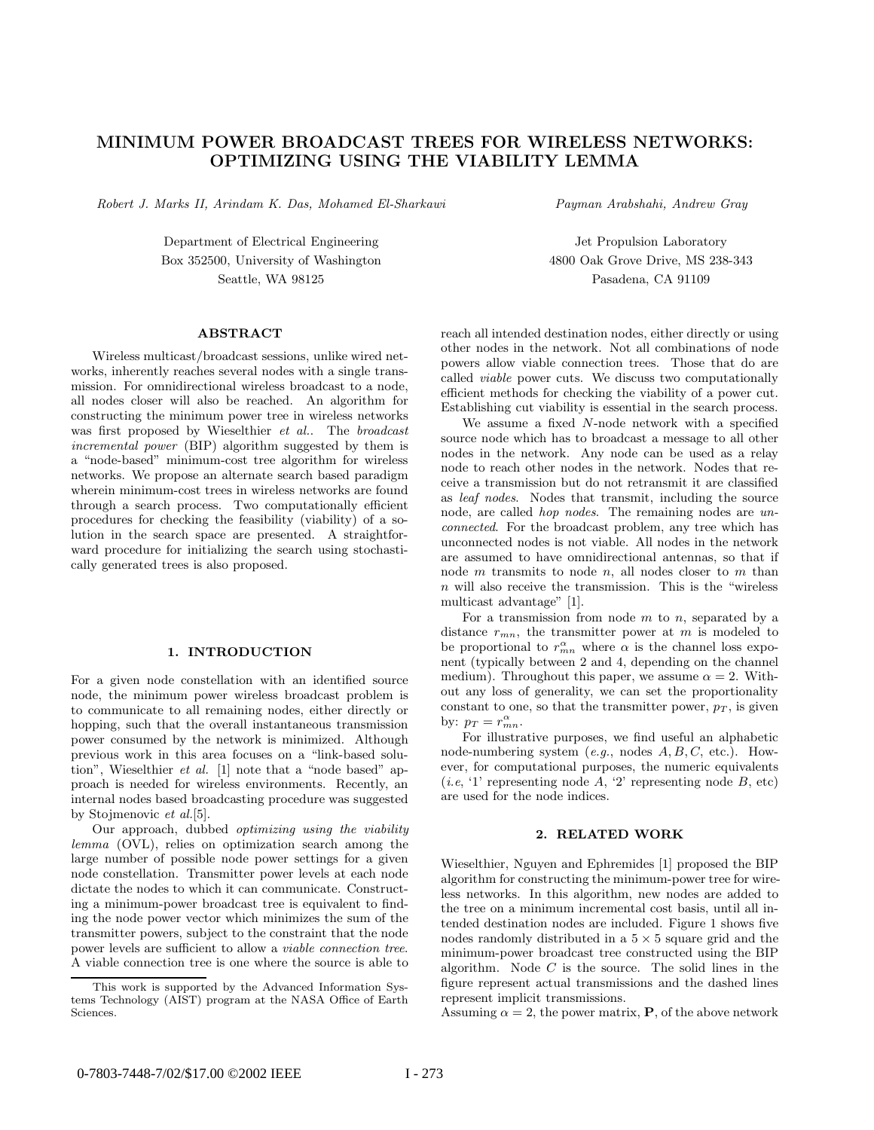## **MINIMUM POWER BROADCAST TREES FOR WIRELESS NETWORKS: OPTIMIZING USING THE VIABILITY LEMMA**

Robert J. Marks II, Arindam K. Das, Mohamed El-Sharkawi

Payman Arabshahi, Andrew Gray

Jet Propulsion Laboratory 4800 Oak Grove Drive, MS 238-343 Pasadena, CA 91109

Department of Electrical Engineering Box 352500, University of Washington Seattle, WA 98125

Wireless multicast/broadcast sessions, unlike wired networks, inherently reaches several nodes with a single transmission. For omnidirectional wireless broadcast to a node, all nodes closer will also be reached. An algorithm for constructing the minimum power tree in wireless networks was first proposed by Wieselthier et al.. The broadcast incremental power (BIP) algorithm suggested by them is a "node-based" minimum-cost tree algorithm for wireless networks. We propose an alternate search based paradigm wherein minimum-cost trees in wireless networks are found through a search process. Two computationally efficient procedures for checking the feasibility (viability) of a solution in the search space are presented. A straightforward procedure for initializing the search using stochastically generated trees is also proposed.

For a given node constellation with an identified source node, the minimum power wireless broadcast problem is to communicate to all remaining nodes, either directly or hopping, such that the overall instantaneous transmission power consumed by the network is minimized. Although previous work in this area focuses on a "link-based solution", Wieselthier et al. [1] note that a "node based" approach is needed for wireless environments. Recently, an internal nodes based broadcasting procedure was suggested by Stojmenovic et al.[5].

Our approach, dubbed optimizing using the viability lemma (OVL), relies on optimization search among the large number of possible node power settings for a given node constellation. Transmitter power levels at each node dictate the nodes to which it can communicate. Constructing a minimum-power broadcast tree is equivalent to finding the node power vector which minimizes the sum of the transmitter powers, subject to the constraint that the node power levels are sufficient to allow a viable connection tree. A viable connection tree is one where the source is able to

reach all intended destination nodes, either directly or using other nodes in the network. Not all combinations of node powers allow viable connection trees. Those that do are called viable power cuts. We discuss two computationally efficient methods for checking the viability of a power cut. Establishing cut viability is essential in the search process.

We assume a fixed N-node network with a specified source node which has to broadcast a message to all other nodes in the network. Any node can be used as a relay node to reach other nodes in the network. Nodes that receive a transmission but do not retransmit it are classified as leaf nodes. Nodes that transmit, including the source node, are called *hop nodes*. The remaining nodes are unconnected. For the broadcast problem, any tree which has unconnected nodes is not viable. All nodes in the network are assumed to have omnidirectional antennas, so that if node  $m$  transmits to node  $n$ , all nodes closer to  $m$  than  $n$  will also receive the transmission. This is the "wireless" multicast advantage" [1].

For a transmission from node  $m$  to  $n$ , separated by a distance  $r_{mn}$ , the transmitter power at m is modeled to be proportional to  $r_{mn}^{\alpha}$  where  $\alpha$  is the channel loss exponent (typically between 2 and 4, depending on the channel medium). Throughout this paper, we assume  $\alpha = 2$ . Without any loss of generality, we can set the proportionality constant to one, so that the transmitter power,  $p_T$ , is given by:  $p_T = r_{mn}^{\alpha}$ .

For illustrative purposes, we find useful an alphabetic node-numbering system  $(e.g.,\text{ nodes }A, B, C, \text{ etc.}).$  However, for computational purposes, the numeric equivalents  $(i.e, '1'$  representing node A, '2' representing node B, etc) are used for the node indices.

### 2. RELATED WORK

Wieselthier, Nguyen and Ephremides [1] proposed the BIP algorithm for constructing the minimum-power tree for wireless networks. In this algorithm, new nodes are added to the tree on a minimum incremental cost basis, until all intended destination nodes are included. Figure 1 shows five nodes randomly distributed in a  $5 \times 5$  square grid and the minimum-power broadcast tree constructed using the BIP algorithm. Node  $C$  is the source. The solid lines in the figure represent actual transmissions and the dashed lines represent implicit transmissions.

Assuming  $\alpha = 2$ , the power matrix, **P**, of the above network

This work is supported by the Advanced Information Systems Technology (AIST) program at the NASA Office of Earth Sciences.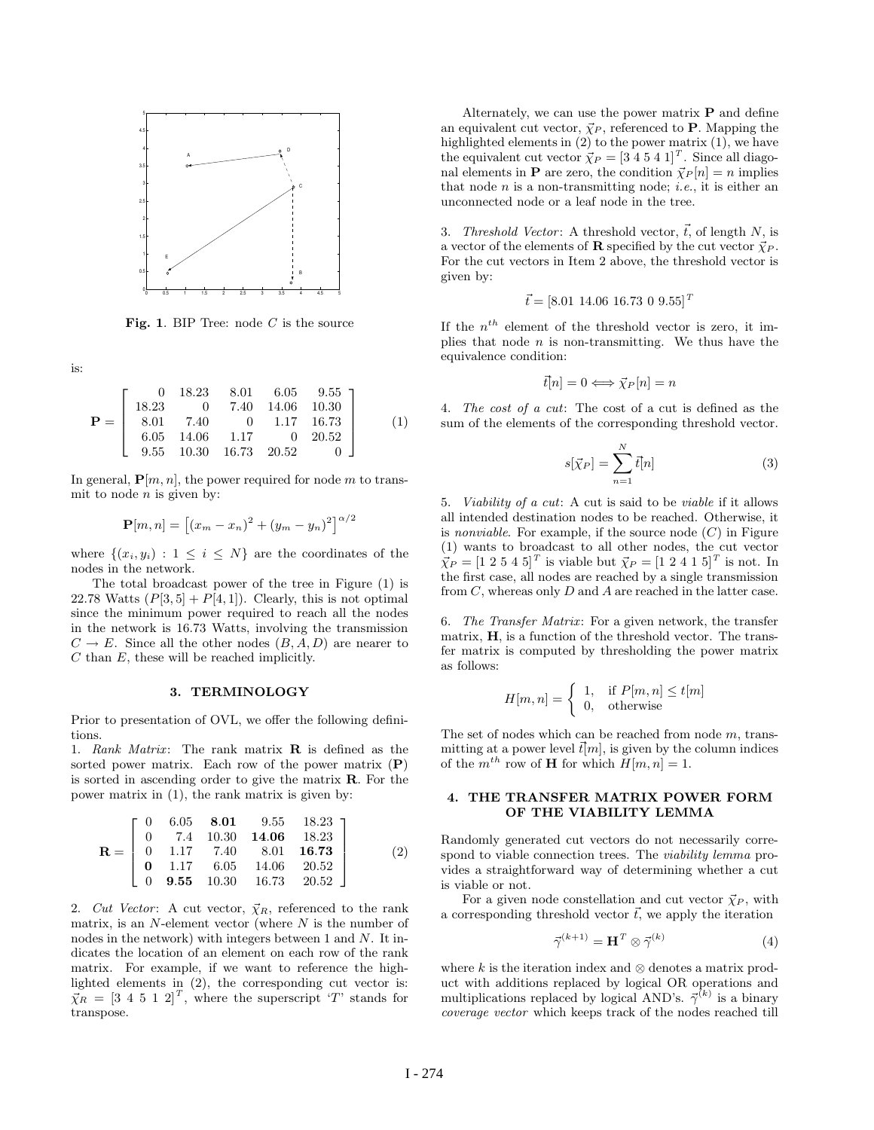

**Fig. 1**. BIP Tree: node <sup>C</sup> is the source

is:

$$
\mathbf{P} = \left[ \begin{array}{ccccc} 0 & 18.23 & 8.01 & 6.05 & 9.55 \\ 18.23 & 0 & 7.40 & 14.06 & 10.30 \\ 8.01 & 7.40 & 0 & 1.17 & 16.73 \\ 6.05 & 14.06 & 1.17 & 0 & 20.52 \\ 9.55 & 10.30 & 16.73 & 20.52 & 0 \end{array} \right] \tag{1}
$$

In general,  $\mathbf{P}[m, n]$ , the power required for node m to transmit to node  $n$  is given by:

$$
\mathbf{P}[m,n] = [(x_m - x_n)^2 + (y_m - y_n)^2]^{\alpha/2}
$$

where  $\{(x_i, y_i): 1 \leq i \leq N\}$  are the coordinates of the nodes in the network.

The total broadcast power of the tree in Figure (1) is 22.78 Watts  $(P[3, 5] + P[4, 1])$ . Clearly, this is not optimal since the minimum power required to reach all the nodes in the network is 16.73 Watts, involving the transmission  $C \to E$ . Since all the other nodes  $(B, A, D)$  are nearer to C than E, these will be reached implicitly.

Prior to presentation of OVL, we offer the following definitions.

1. Rank Matrix: The rank matrix **R** is defined as the sorted power matrix. Each row of the power matrix (**P**) is sorted in ascending order to give the matrix **R**. For the power matrix in (1), the rank matrix is given by:

$$
\mathbf{R} = \begin{bmatrix} 0 & 6.05 & \mathbf{8.01} & 9.55 & 18.23 \\ 0 & 7.4 & 10.30 & \mathbf{14.06} & 18.23 \\ 0 & 1.17 & 7.40 & 8.01 & \mathbf{16.73} \\ \mathbf{0} & 1.17 & 6.05 & 14.06 & 20.52 \\ 0 & \mathbf{9.55} & 10.30 & 16.73 & 20.52 \end{bmatrix}
$$
 (2)

2. Cut Vector: A cut vector,  $\vec{\chi}_R$ , referenced to the rank matrix, is an  $N$ -element vector (where  $N$  is the number of nodes in the network) with integers between 1 and N. It indicates the location of an element on each row of the rank matrix. For example, if we want to reference the highlighted elements in (2), the corresponding cut vector is:  $\vec{\chi}_R = [3 \ 4 \ 5 \ 1 \ 2]^T$ , where the superscript 'T' stands for transpose.

Alternately, we can use the power matrix **P** and define an equivalent cut vector,  $\vec{\chi}_P$ , referenced to **P**. Mapping the highlighted elements in (2) to the power matrix (1), we have the equivalent cut vector  $\vec{\chi}_P = [3 \ 4 \ 5 \ 4 \ 1]^T$ . Since all diagonal elements in **P** are zero, the condition  $\vec{\chi}_P[n] = n$  implies that node  $n$  is a non-transmitting node; *i.e.*, it is either an unconnected node or a leaf node in the tree.

3. Threshold Vector: A threshold vector,  $\vec{t}$ , of length N, is a vector of the elements of **R** specified by the cut vector  $\vec{\chi}_P$ . For the cut vectors in Item 2 above, the threshold vector is given by:

$$
\vec{t} = [8.01 \ 14.06 \ 16.73 \ 0 \ 9.55]^T
$$

If the  $n^{th}$  element of the threshold vector is zero, it implies that node  $n$  is non-transmitting. We thus have the equivalence condition:

$$
\vec{t}[n] = 0 \Longleftrightarrow \vec{\chi}_P[n] = n
$$

4. The cost of a cut: The cost of a cut is defined as the sum of the elements of the corresponding threshold vector.

$$
s[\vec{\chi}_P] = \sum_{n=1}^{N} \vec{t}[n] \tag{3}
$$

5. Viability of a cut: A cut is said to be viable if it allows all intended destination nodes to be reached. Otherwise, it is nonviable. For example, if the source node  $(C)$  in Figure (1) wants to broadcast to all other nodes, the cut vector  $\vec{\chi}_P = [1 \ 2 \ 5 \ 4 \ 5]^T$  is viable but  $\vec{\chi}_P = [1 \ 2 \ 4 \ 1 \ 5]^T$  is not. In the first case, all nodes are reached by a single transmission from  $C$ , whereas only  $D$  and  $A$  are reached in the latter case.

6. The Transfer Matrix: For a given network, the transfer matrix, **H**, is a function of the threshold vector. The transfer matrix is computed by thresholding the power matrix as follows:

$$
H[m, n] = \begin{cases} 1, & \text{if } P[m, n] \le t[m] \\ 0, & \text{otherwise} \end{cases}
$$

The set of nodes which can be reached from node  $m$ , transmitting at a power level  $\bar{t}[m]$ , is given by the column indices of the  $m^{th}$  row of **H** for which  $H[m, n] = 1$ .

# **4. THE TRANSFER MATRIX POWER FORM**

Randomly generated cut vectors do not necessarily correspond to viable connection trees. The *viability lemma* provides a straightforward way of determining whether a cut is viable or not.

For a given node constellation and cut vector  $\vec{\chi}_P$ , with a corresponding threshold vector  $t$ , we apply the iteration

$$
\vec{\gamma}^{(k+1)} = \mathbf{H}^T \otimes \vec{\gamma}^{(k)} \tag{4}
$$

where k is the iteration index and  $\otimes$  denotes a matrix product with additions replaced by logical OR operations and multiplications replaced by logical AND's.  $\vec{\gamma}^{(k)}$  is a binary coverage vector which keeps track of the nodes reached till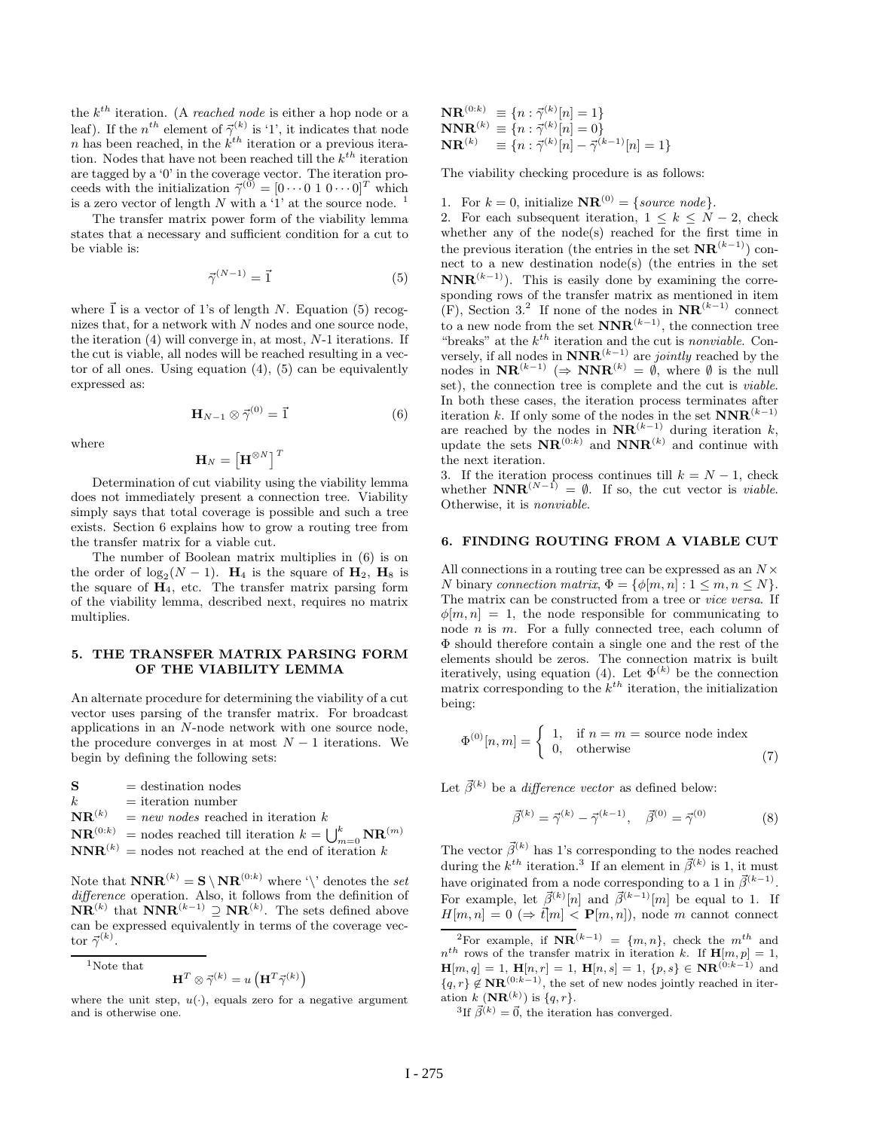the  $k^{th}$  iteration. (A reached node is either a hop node or a leaf). If the  $n^{th}$  element of  $\vec{\gamma}^{(k)}$  is '1', it indicates that node n has been reached, in the  $k^{th}$  iteration or a previous iteration. Nodes that have not been reached till the  $k^{th}$  iteration are tagged by a '0' in the coverage vector. The iteration proceeds with the initialization  $\vec{\gamma}^{(0)} = [0 \cdots 0 \; 1 \; 0 \cdots 0]^T$  which is a zero vector of length  $N$  with a '1' at the source node. <sup>1</sup>

The transfer matrix power form of the viability lemma states that a necessary and sufficient condition for a cut to be viable is:

$$
\vec{\gamma}^{(N-1)} = \vec{1} \tag{5}
$$

where  $\vec{1}$  is a vector of 1's of length N. Equation (5) recognizes that, for a network with N nodes and one source node, the iteration  $(4)$  will converge in, at most, N-1 iterations. If the cut is viable, all nodes will be reached resulting in a vector of all ones. Using equation  $(4)$ ,  $(5)$  can be equivalently expressed as:

$$
\mathbf{H}_{N-1} \otimes \vec{\gamma}^{(0)} = \vec{1} \tag{6}
$$

where

$$
\mathbf{H}_{N}=\left[\mathbf{H}^{\otimes N}\right]^{T}
$$

Determination of cut viability using the viability lemma does not immediately present a connection tree. Viability simply says that total coverage is possible and such a tree exists. Section 6 explains how to grow a routing tree from the transfer matrix for a viable cut.

The number of Boolean matrix multiplies in (6) is on the order of  $\log_2(N-1)$ . **H**<sub>4</sub> is the square of **H**<sub>2</sub>, **H**<sub>8</sub> is the square of  $H_4$ , etc. The transfer matrix parsing form of the viability lemma, described next, requires no matrix multiplies.

## **5. THE VIARILITY LEMMA**

An alternate procedure for determining the viability of a cut vector uses parsing of the transfer matrix. For broadcast applications in an N-node network with one source node, the procedure converges in at most  $N-1$  iterations. We begin by defining the following sets:

**S** = destination nodes<br> $k$  = iteration number  $=$  iteration number  $\mathbf{NR}^{(k)}$  = new nodes reached in iteration  $k$  $\mathbf{NR}^{(0:k)}$  = nodes reached till iteration  $k = \bigcup_{m=0}^{k} \mathbf{NR}^{(m)}$ <br>**NNR**<sup>(k)</sup> = nodes not reached at the and of iteration k **NNR**<sup>(k)</sup> = nodes not reached at the end of iteration k

Note that  $\mathbf{NNR}^{(k)} = \mathbf{S} \setminus \mathbf{NR}^{(0:k)}$  where '\' denotes the set difference operation. Also, it follows from the definition of **NR**<sup>(k)</sup> that **NNR**<sup>(k−1)</sup>  $\supseteq$  **NR**<sup>(k)</sup>. The sets defined above can be expressed equivalently in terms of the coverage veccan be expressed equivalently in terms of the coverage vector  $\vec{\gamma}^{(k)}$ .

 $\rm ^1$  Note that

$$
\mathbf{H}^T \otimes \vec{\gamma}^{(k)} = u\left(\mathbf{H}^T \vec{\gamma}^{(k)}\right)
$$

where the unit step,  $u(\cdot)$ , equals zero for a negative argument and is otherwise one.

 $\mathbf{NR}^{(0:k)} \equiv \{n : \vec{\gamma}^{(k)}[n] = 1\}$ <br> $\mathbf{NNR}^{(k)} = \{n : \vec{\gamma}^{(k)}[n] = 0\}$  $\begin{array}{c} \mathbf{NNR}^{(k)}\equiv\{n:\vec{\gamma}^{(k)}[n]=0\}\ \mathbf{NP}^{(k)}=I_{\mathcal{D}}\cdot\vec{\gamma}^{(k)}[n]-\vec{\gamma}^{(k)}_0\} \end{array}$  $\mathbf{NR}^{(k)} \equiv \{n : \vec{\gamma}^{(k)}[n] - \vec{\gamma}^{(k-1)}[n] = 1\}$ 

The viability checking procedure is as follows:

1. For  $k = 0$ , initialize  $\mathbf{NR}^{(0)} = \{source\ node\}.$ 

2. For each subsequent iteration,  $1 \leq k \leq N-2$ , check whether any of the node(s) reached for the first time in the previous iteration (the entries in the set  $\mathbf{NR}^{(k-1)}$ ) connect to a new destination node(s) (the entries in the set  $\mathbf{NNR}^{(k-1)}$ ). This is easily done by examining the corresponding rows of the transfer matrix as mentioned in item (F), Section 3.<sup>2</sup> If none of the nodes in  $\mathbf{NR}^{(k-1)}$  connect to a new node from the set  $\mathbf{NNR}^{(k-1)}$ , the connection tree "breaks" at the  $k^{th}$  iteration and the cut is nonviable. Conversely, if all nodes in  $\mathbf{NNR}^{(k-1)}$  are *jointly* reached by the nodes in  $\mathbf{NR}^{(k-1)}$  ( $\rightarrow \mathbf{NNR}^{(k)} = \emptyset$  where  $\emptyset$  is the null nodes in  $\mathbf{NR}^{(k-1)}$  ( $\Rightarrow$   $\mathbf{NNR}^{(k)} = \emptyset$ , where  $\emptyset$  is the null<br>set) the connection tree is complete and the cut is *righle* set), the connection tree is complete and the cut is viable. In both these cases, the iteration process terminates after<br>iteration k. If only some of the nodes in the set  $\mathbf{NNR}^{(k-1)}$ iteration k. If only some of the nodes in the set  $\mathbf{NNR}^{(k-1)}$ <br>are reached by the nodes in  $\mathbf{NR}^{(k-1)}$  during iteration k are reached by the nodes in  $\mathbf{NR}^{(k-1)}$  during iteration k,<br>undate the sets  $\mathbf{NR}^{(0:k)}$  and  $\mathbf{NNR}^{(k)}$  and continue with update the sets  $\mathbf{NR}^{(0:k)}$  and  $\mathbf{NNR}^{(k)}$  and continue with the next iteration the next iteration.

3. If the iteration process continues till  $k = N - 1$ , check whether  $\mathbf{NNR}^{(N-1)} = \emptyset$ . If so, the cut vector is *viable*.<br>Otherwise it is *nonviable* Otherwise, it is nonviable.

## **6. FINDING ROUTING FROM A VIABLE CUT**

All connections in a routing tree can be expressed as an  $N \times$ N binary connection matrix,  $\Phi = {\phi[m, n]: 1 \leq m, n \leq N}.$ The matrix can be constructed from a tree or vice versa. If  $\phi[m,n] = 1$ , the node responsible for communicating to node n is m. For a fully connected tree, each column of Φ should therefore contain a single one and the rest of the elements should be zeros. The connection matrix is built iteratively, using equation (4). Let  $\Phi^{(k)}$  be the connection matrix corresponding to the  $k^{th}$  iteration, the initialization being:

$$
\Phi^{(0)}[n,m] = \begin{cases} 1, & \text{if } n=m = \text{source node index} \\ 0, & \text{otherwise} \end{cases}
$$
(7)

Let  $\vec{\beta}^{(k)}$  be a *difference vector* as defined below:

$$
\vec{\beta}^{(k)} = \vec{\gamma}^{(k)} - \vec{\gamma}^{(k-1)}, \quad \vec{\beta}^{(0)} = \vec{\gamma}^{(0)} \tag{8}
$$

The vector  $\vec{\beta}^{(k)}$  has 1's corresponding to the nodes reached during the  $k^{th}$  iteration.<sup>3</sup> If an element in  $\vec{\beta}^{(k)}$  is 1, it must have originated from a node corresponding to a 1 in  $\vec{\beta}^{(k-1)}$ . For example, let  $\vec{\beta}^{(k)}[n]$  and  $\vec{\beta}^{(k-1)}[m]$  be equal to 1. If  $H[m, n]=0 \ (\Rightarrow \vec{t}[m] < {\bf P}[m, n]),$  node m cannot connect

<sup>3</sup>If  $\vec{\beta}^{(k)} = \vec{0}$ , the iteration has converged.

<sup>&</sup>lt;sup>2</sup>For example, if  $\mathbf{NR}^{(k-1)} = \{m, n\}$ , check the m<sup>th</sup> and  $n^{th}$  rows of the transfer matrix in iteration k. If  $\mathbf{H}[m, p] = 1$ , **H**[m, q] = 1, **H**[n, r] = 1, **H**[n, s] = 1, {p, s} ∈ **NR**<sup>(0:k-1)</sup> and  ${q, r} \notin \mathbf{NR}^{(0:k-1)}$ , the set of new nodes jointly reached in iteration  $k(\mathbf{NR}^{(k)})$  is  ${q, r}$ .